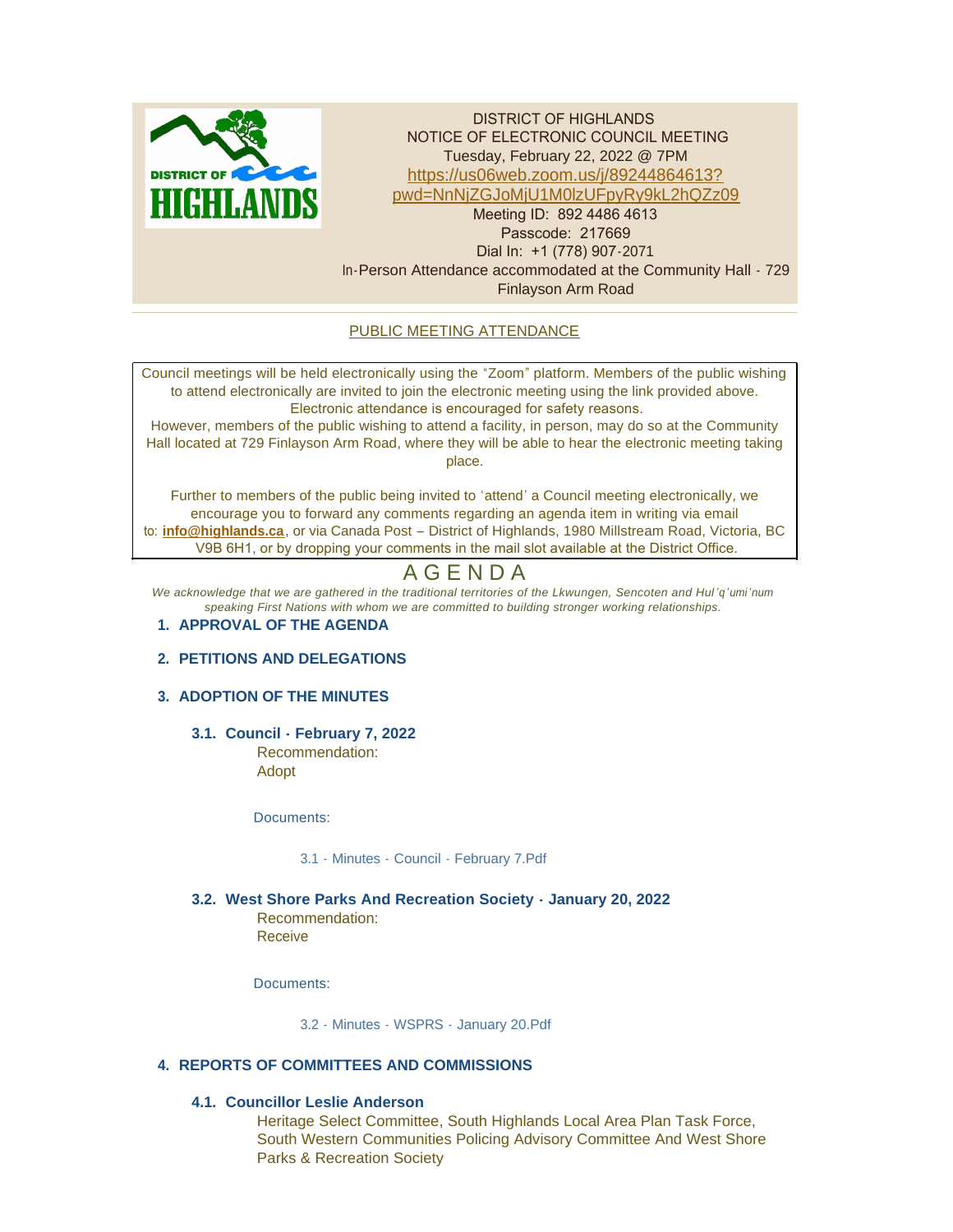

DISTRICT OF HIGHLANDS NOTICE OF ELECTRONIC COUNCIL MEETING Tuesday, February 22, 2022 @ 7PM https://us06web.zoom.us/j/89244864613? p[wd=NnNjZGJoMjU1M0lzUFpyRy9kL2hQZz09](https://us06web.zoom.us/j/89244864613?pwd=NnNjZGJoMjU1M0lzUFpyRy9kL2hQZz09) Meeting ID: 892 4486 4613 Passcode: 217669 Dial In: +1 (778) 907-2071 In-Person Attendance accommodated at the Community Hall - 729 Finlayson Arm Road

# PUBLIC MEETING ATTENDANCE

Council meetings will be held electronically using the "Zoom" platform. Members of the public wishing to attend electronically are invited to join the electronic meeting using the link provided above. Electronic attendance is encouraged for safety reasons.

However, members of the public wishing to attend a facility, in person, may do so at the Community Hall located at 729 Finlayson Arm Road, where they will be able to hear the electronic meeting taking place.

Further to members of the public being invited to 'attend' a Council meeting electronically, we encourage you to forward any comments regarding an agenda item in writing via email to: **[info@highlands.ca](mailto:info@highlands.ca)**, or via Canada Post – District of Highlands, 1980 Millstream Road, Victoria, BC V9B 6H1, or by dropping your comments in the mail slot available at the District Office.

# A G E N D A

*We acknowledge that we are gathered in the traditional territories of the Lkwungen, Sencoten and Hul 'q'umi'num speaking First Nations with whom we are committed to building stronger working relationships.*

#### **APPROVAL OF THE AGENDA 1.**

#### **PETITIONS AND DELEGATIONS 2.**

#### **ADOPTION OF THE MINUTES 3.**

**Council - February 7, 2022 3.1.** Recommendation:

Adopt

Documents:

[3.1 - Minutes - Council - February 7.Pdf](https://www.highlands.ca/AgendaCenter/ViewFile/Item/6936?fileID=6642)

**West Shore Parks And Recreation Society - January 20, 2022 3.2.** Recommendation: Receive

Documents:

[3.2 - Minutes - WSPRS - January 20.Pdf](https://www.highlands.ca/AgendaCenter/ViewFile/Item/6937?fileID=6643)

# **REPORTS OF COMMITTEES AND COMMISSIONS 4.**

# **Councillor Leslie Anderson 4.1.**

Heritage Select Committee, South Highlands Local Area Plan Task Force, South Western Communities Policing Advisory Committee And West Shore Parks & Recreation Society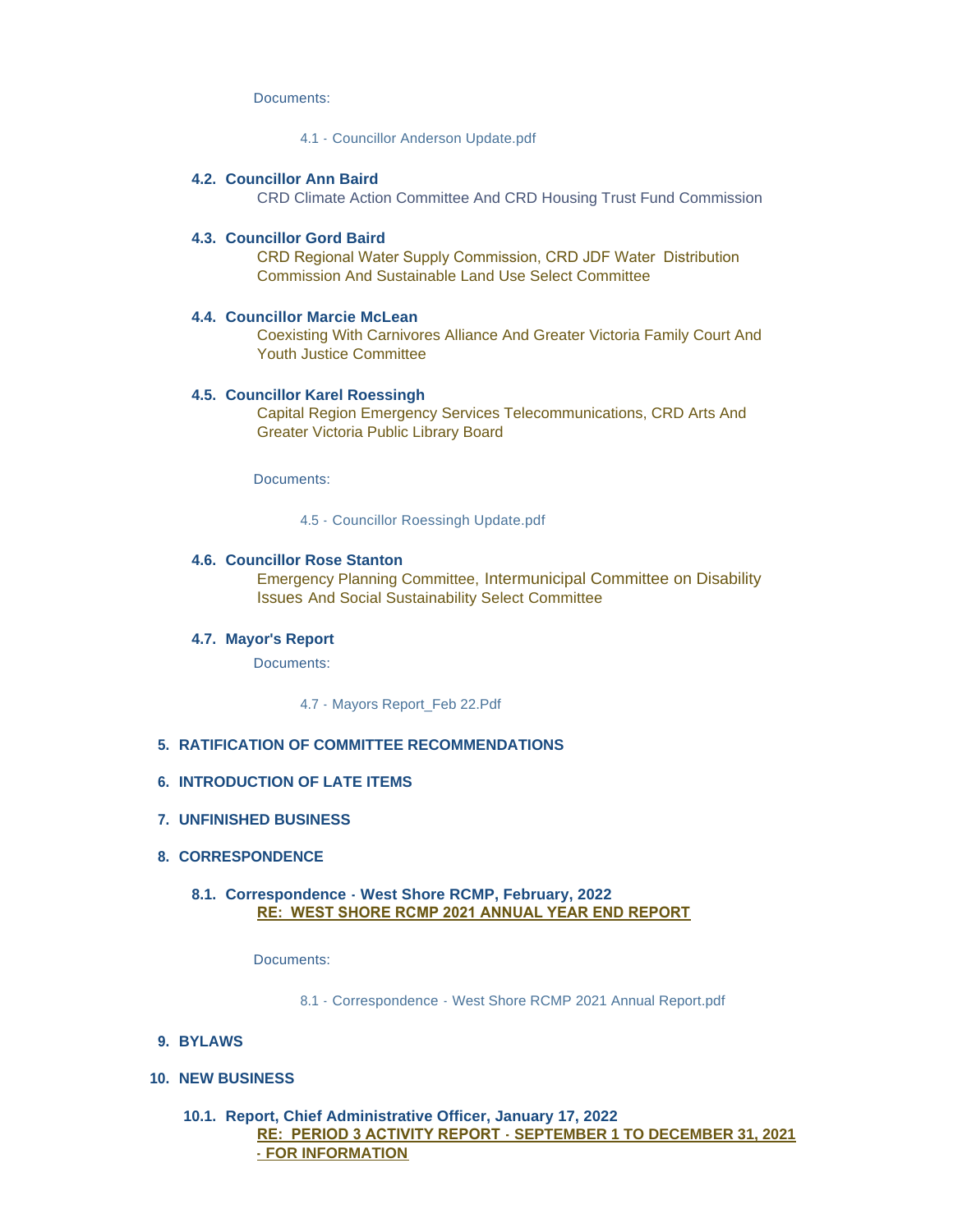Documents:

[4.1 - Councillor Anderson Update.pdf](https://www.highlands.ca/AgendaCenter/ViewFile/Item/6919?fileID=6644)

#### **Councillor Ann Baird 4.2.**

CRD Climate Action Committee And CRD Housing Trust Fund Commission

#### **Councillor Gord Baird 4.3.**

CRD Regional Water Supply Commission, CRD JDF Water Distribution Commission And Sustainable Land Use Select Committee

#### **Councillor Marcie McLean 4.4.**

Coexisting With Carnivores Alliance And Greater Victoria Family Court And Youth Justice Committee

#### **Councillor Karel Roessingh 4.5.**

Capital Region Emergency Services Telecommunications, CRD Arts And Greater Victoria Public Library Board

Documents:

[4.5 - Councillor Roessingh Update.pdf](https://www.highlands.ca/AgendaCenter/ViewFile/Item/6923?fileID=6645)

#### **4.6. Councillor Rose Stanton**

Emergency Planning Committee, Intermunicipal Committee on Disability Issues And Social Sustainability Select Committee

#### **Mayor's Report 4.7.**

Documents:

[4.7 - Mayors Report\\_Feb 22.Pdf](https://www.highlands.ca/AgendaCenter/ViewFile/Item/6925?fileID=6646)

#### **RATIFICATION OF COMMITTEE RECOMMENDATIONS 5.**

#### **INTRODUCTION OF LATE ITEMS 6.**

**UNFINISHED BUSINESS 7.**

#### **CORRESPONDENCE 8.**

# **Correspondence - West Shore RCMP, February, 2022 8.1. RE: WEST SHORE RCMP 2021 ANNUAL YEAR END REPORT**

#### Documents:

[8.1 - Correspondence - West Shore RCMP 2021 Annual Report.pdf](https://www.highlands.ca/AgendaCenter/ViewFile/Item/6938?fileID=6647)

#### **BYLAWS 9.**

#### **NEW BUSINESS 10.**

### **Report, Chief Administrative Officer, January 17, 2022 10.1. RE: PERIOD 3 ACTIVITY REPORT - SEPTEMBER 1 TO DECEMBER 31, 2021 - FOR INFORMATION**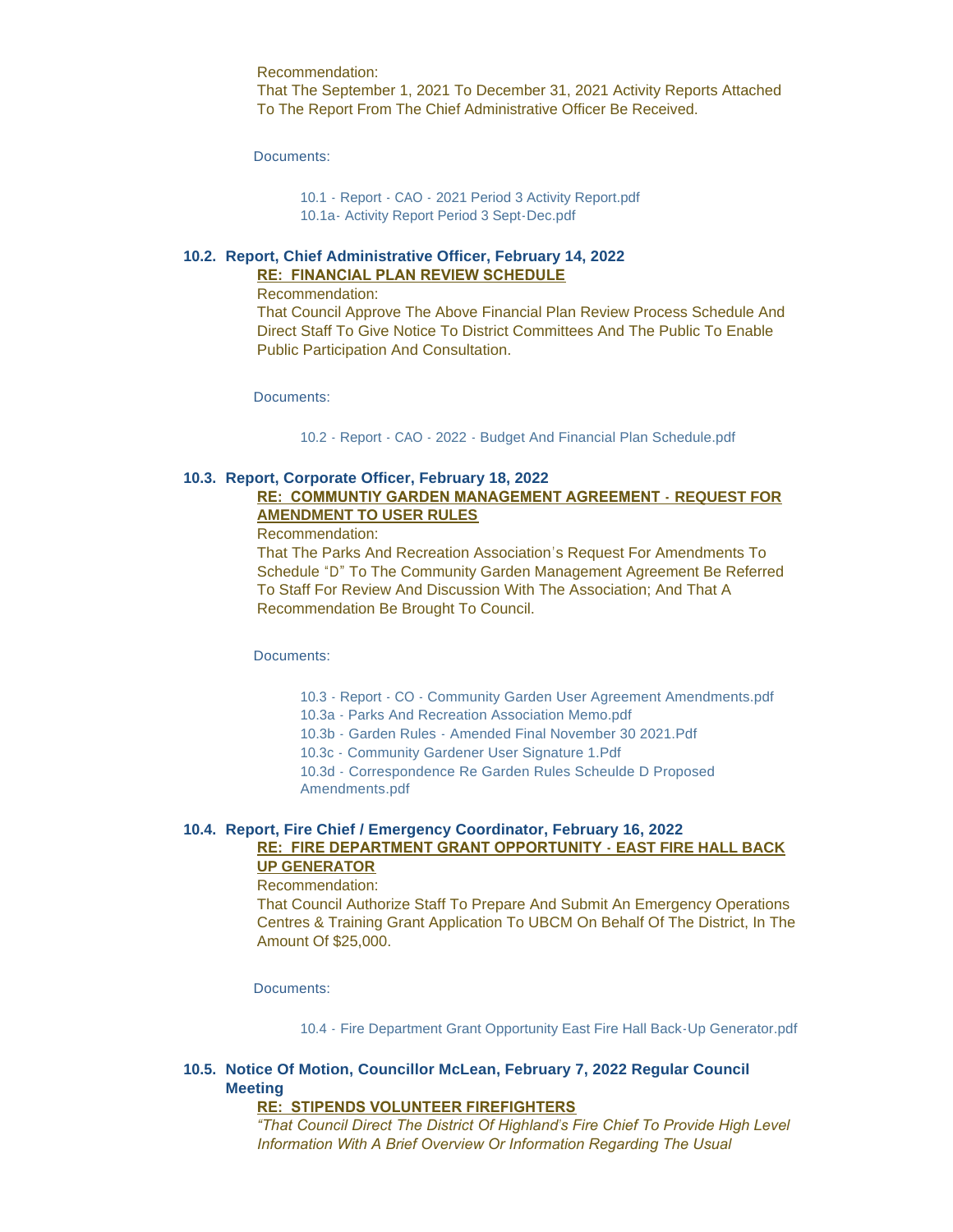Recommendation: That The September 1, 2021 To December 31, 2021 Activity Reports Attached

To The Report From The Chief Administrative Officer Be Received.

Documents:

[10.1 - Report - CAO - 2021 Period 3 Activity Report.pdf](https://www.highlands.ca/AgendaCenter/ViewFile/Item/6939?fileID=6648) [10.1a- Activity Report Period 3 Sept-Dec.pdf](https://www.highlands.ca/AgendaCenter/ViewFile/Item/6939?fileID=6659)

# **Report, Chief Administrative Officer, February 14, 2022 10.2. RE: FINANCIAL PLAN REVIEW SCHEDULE**

Recommendation:

That Council Approve The Above Financial Plan Review Process Schedule And Direct Staff To Give Notice To District Committees And The Public To Enable Public Participation And Consultation.

Documents:

10.2 - Report - CAO - 2022 - [Budget And Financial Plan Schedule.pdf](https://www.highlands.ca/AgendaCenter/ViewFile/Item/6940?fileID=6649)

# **Report, Corporate Officer, February 18, 2022 10.3.**

# **RE: COMMUNTIY GARDEN MANAGEMENT AGREEMENT - REQUEST FOR AMENDMENT TO USER RULES**

Recommendation:

That The Parks And Recreation Association's Request For Amendments To Schedule "D" To The Community Garden Management Agreement Be Referred To Staff For Review And Discussion With The Association; And That A Recommendation Be Brought To Council.

Documents:

10.3 - Report - CO - [Community Garden User Agreement Amendments.pdf](https://www.highlands.ca/AgendaCenter/ViewFile/Item/6941?fileID=6651)

10.3a - [Parks And Recreation Association Memo.pdf](https://www.highlands.ca/AgendaCenter/ViewFile/Item/6941?fileID=6652)

[10.3b - Garden Rules - Amended Final November 30 2021.Pdf](https://www.highlands.ca/AgendaCenter/ViewFile/Item/6941?fileID=6654)

[10.3c - Community Gardener User Signature 1.Pdf](https://www.highlands.ca/AgendaCenter/ViewFile/Item/6941?fileID=6655)

[10.3d - Correspondence Re Garden Rules Scheulde D Proposed](https://www.highlands.ca/AgendaCenter/ViewFile/Item/6941?fileID=6658)  Amendments.pdf

# **Report, Fire Chief / Emergency Coordinator, February 16, 2022 10.4. RE: FIRE DEPARTMENT GRANT OPPORTUNITY - EAST FIRE HALL BACK UP GENERATOR**

#### Recommendation:

That Council Authorize Staff To Prepare And Submit An Emergency Operations Centres & Training Grant Application To UBCM On Behalf Of The District, In The Amount Of \$25,000.

Documents:

[10.4 - Fire Department Grant Opportunity East Fire Hall Back-Up Generator.pdf](https://www.highlands.ca/AgendaCenter/ViewFile/Item/6942?fileID=6653)

# **Notice Of Motion, Councillor McLean, February 7, 2022 Regular Council 10.5. Meeting**

#### **RE: STIPENDS VOLUNTEER FIREFIGHTERS**

*"That Council Direct The District Of Highland's Fire Chief To Provide High Level Information With A Brief Overview Or Information Regarding The Usual*